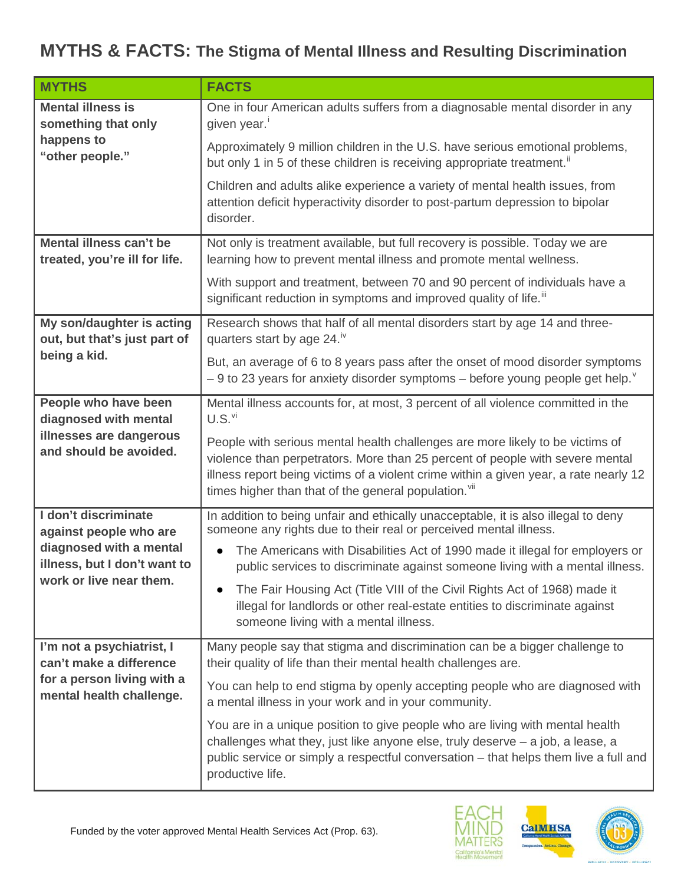## **MYTHS & FACTS: The Stigma of Mental Illness and Resulting Discrimination**

| <b>MYTHS</b>                                                                                                   | <b>FACTS</b>                                                                                                                                                                                                                                                                                                     |
|----------------------------------------------------------------------------------------------------------------|------------------------------------------------------------------------------------------------------------------------------------------------------------------------------------------------------------------------------------------------------------------------------------------------------------------|
| <b>Mental illness is</b><br>something that only<br>happens to<br>"other people."                               | One in four American adults suffers from a diagnosable mental disorder in any<br>given year. <sup>i</sup>                                                                                                                                                                                                        |
|                                                                                                                | Approximately 9 million children in the U.S. have serious emotional problems,<br>but only 1 in 5 of these children is receiving appropriate treatment."                                                                                                                                                          |
|                                                                                                                | Children and adults alike experience a variety of mental health issues, from<br>attention deficit hyperactivity disorder to post-partum depression to bipolar<br>disorder.                                                                                                                                       |
| Mental illness can't be<br>treated, you're ill for life.                                                       | Not only is treatment available, but full recovery is possible. Today we are<br>learning how to prevent mental illness and promote mental wellness.                                                                                                                                                              |
|                                                                                                                | With support and treatment, between 70 and 90 percent of individuals have a<br>significant reduction in symptoms and improved quality of life. <sup>iii</sup>                                                                                                                                                    |
| My son/daughter is acting<br>out, but that's just part of<br>being a kid.                                      | Research shows that half of all mental disorders start by age 14 and three-<br>quarters start by age 24. <sup>iv</sup>                                                                                                                                                                                           |
|                                                                                                                | But, an average of 6 to 8 years pass after the onset of mood disorder symptoms<br>$-9$ to 23 years for anxiety disorder symptoms – before young people get help. <sup><math>\degree</math></sup>                                                                                                                 |
| People who have been<br>diagnosed with mental                                                                  | Mental illness accounts for, at most, 3 percent of all violence committed in the<br>$U.S.^{\vee i}$                                                                                                                                                                                                              |
| illnesses are dangerous<br>and should be avoided.                                                              | People with serious mental health challenges are more likely to be victims of<br>violence than perpetrators. More than 25 percent of people with severe mental<br>illness report being victims of a violent crime within a given year, a rate nearly 12<br>times higher than that of the general population. Vil |
| I don't discriminate<br>against people who are                                                                 | In addition to being unfair and ethically unacceptable, it is also illegal to deny<br>someone any rights due to their real or perceived mental illness.                                                                                                                                                          |
| diagnosed with a mental<br>illness, but I don't want to                                                        | The Americans with Disabilities Act of 1990 made it illegal for employers or<br>public services to discriminate against someone living with a mental illness.                                                                                                                                                    |
| work or live near them.                                                                                        | The Fair Housing Act (Title VIII of the Civil Rights Act of 1968) made it<br>illegal for landlords or other real-estate entities to discriminate against<br>someone living with a mental illness.                                                                                                                |
| I'm not a psychiatrist, I<br>can't make a difference<br>for a person living with a<br>mental health challenge. | Many people say that stigma and discrimination can be a bigger challenge to<br>their quality of life than their mental health challenges are.                                                                                                                                                                    |
|                                                                                                                | You can help to end stigma by openly accepting people who are diagnosed with<br>a mental illness in your work and in your community.                                                                                                                                                                             |
|                                                                                                                | You are in a unique position to give people who are living with mental health<br>challenges what they, just like anyone else, truly deserve $-$ a job, a lease, a<br>public service or simply a respectful conversation - that helps them live a full and<br>productive life.                                    |